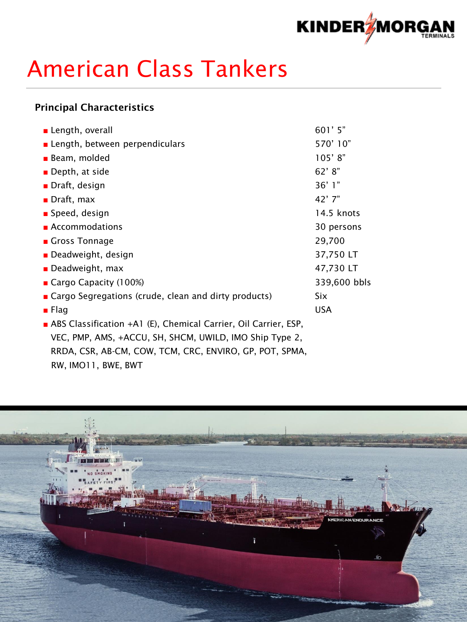

# American Class Tankers

### Principal Characteristics

| Length, overall                                                 | 601' 5"      |
|-----------------------------------------------------------------|--------------|
| <b>E</b> Length, between perpendiculars                         | 570' 10"     |
| <b>Beam, molded</b>                                             | 105'8"       |
| ■ Depth, at side                                                | 62' 8"       |
| ■ Draft, design                                                 | 36'1"        |
| $\blacksquare$ Draft, max                                       | 42'7''       |
| ■ Speed, design                                                 | 14.5 knots   |
| <b>Accommodations</b>                                           | 30 persons   |
| Gross Tonnage                                                   | 29,700       |
| Deadweight, design                                              | 37,750 LT    |
| <b>Deadweight, max</b>                                          | 47,730 LT    |
| Cargo Capacity (100%)                                           | 339,600 bbls |
| ■ Cargo Segregations (crude, clean and dirty products)          | Six          |
| $\blacksquare$ Flag                                             | <b>USA</b>   |
| ABS Classification +A1 (E), Chemical Carrier, Oil Carrier, ESP, |              |
| VEC, PMP, AMS, +ACCU, SH, SHCM, UWILD, IMO Ship Type 2,         |              |
| RRDA, CSR, AB-CM, COW, TCM, CRC, ENVIRO, GP, POT, SPMA,         |              |
| RW, IMO11, BWE, BWT                                             |              |